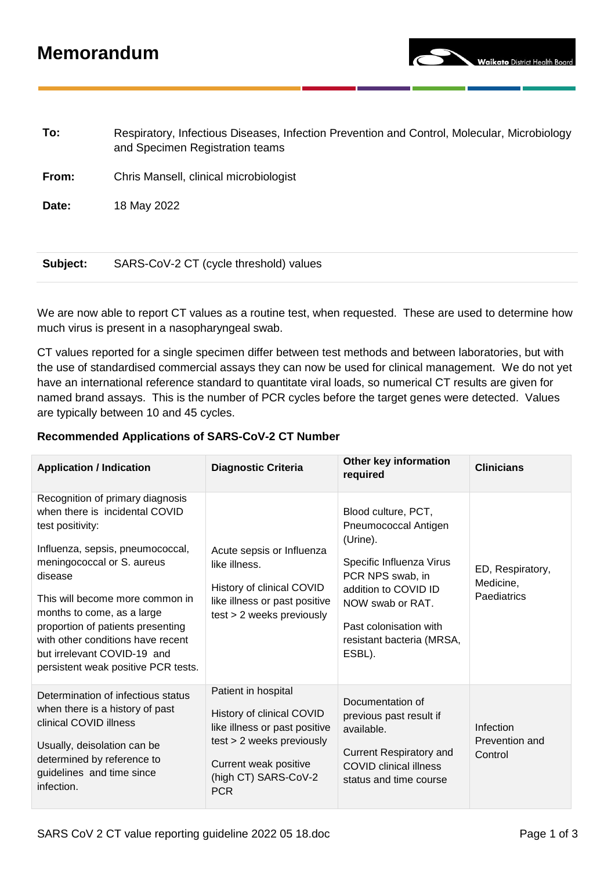## **Memorandum**

**To:** Respiratory, Infectious Diseases, Infection Prevention and Control, Molecular, Microbiology and Specimen Registration teams **From:** Chris Mansell, clinical microbiologist

**Date:** 18 May 2022

## **Subject:** SARS-CoV-2 CT (cycle threshold) values

We are now able to report CT values as a routine test, when requested. These are used to determine how much virus is present in a nasopharyngeal swab.

CT values reported for a single specimen differ between test methods and between laboratories, but with the use of standardised commercial assays they can now be used for clinical management. We do not yet have an international reference standard to quantitate viral loads, so numerical CT results are given for named brand assays. This is the number of PCR cycles before the target genes were detected. Values are typically between 10 and 45 cycles.

### **Recommended Applications of SARS-CoV-2 CT Number**

| <b>Application / Indication</b>                                                                                                                                                                                                                                                                                                                                                      | <b>Diagnostic Criteria</b>                                                                                                                                                    | Other key information<br>required                                                                                                                                                                                    | <b>Clinicians</b>                            |
|--------------------------------------------------------------------------------------------------------------------------------------------------------------------------------------------------------------------------------------------------------------------------------------------------------------------------------------------------------------------------------------|-------------------------------------------------------------------------------------------------------------------------------------------------------------------------------|----------------------------------------------------------------------------------------------------------------------------------------------------------------------------------------------------------------------|----------------------------------------------|
| Recognition of primary diagnosis<br>when there is incidental COVID<br>test positivity:<br>Influenza, sepsis, pneumococcal,<br>meningococcal or S. aureus<br>disease<br>This will become more common in<br>months to come, as a large<br>proportion of patients presenting<br>with other conditions have recent<br>but irrelevant COVID-19 and<br>persistent weak positive PCR tests. | Acute sepsis or Influenza<br>like illness.<br>History of clinical COVID<br>like illness or past positive<br>test > 2 weeks previously                                         | Blood culture, PCT,<br>Pneumococcal Antigen<br>(Urine).<br>Specific Influenza Virus<br>PCR NPS swab, in<br>addition to COVID ID<br>NOW swab or RAT.<br>Past colonisation with<br>resistant bacteria (MRSA,<br>ESBL). | ED, Respiratory,<br>Medicine,<br>Paediatrics |
| Determination of infectious status<br>when there is a history of past<br>clinical COVID illness<br>Usually, deisolation can be<br>determined by reference to<br>guidelines and time since<br>infection.                                                                                                                                                                              | Patient in hospital<br>History of clinical COVID<br>like illness or past positive<br>test > 2 weeks previously<br>Current weak positive<br>(high CT) SARS-CoV-2<br><b>PCR</b> | Documentation of<br>previous past result if<br>available.<br><b>Current Respiratory and</b><br><b>COVID clinical illness</b><br>status and time course                                                               | Infection<br>Prevention and<br>Control       |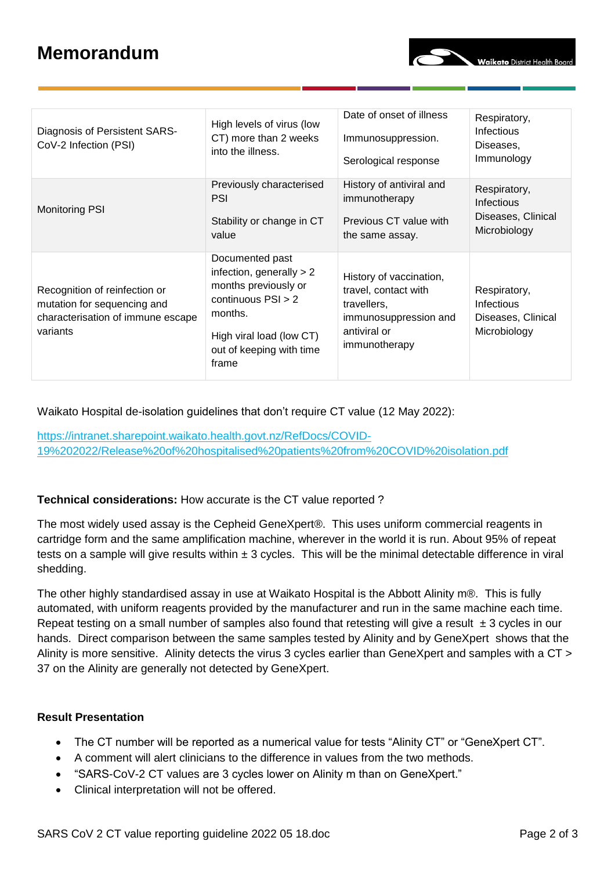# **Memorandum**

| Diagnosis of Persistent SARS-<br>CoV-2 Infection (PSI)                                                        | High levels of virus (low<br>CT) more than 2 weeks<br>into the illness.                                                                                                   | Date of onset of illness<br>Immunosuppression.<br>Serological response                                                   | Respiratory,<br><b>Infectious</b><br>Diseases,<br>Immunology            |
|---------------------------------------------------------------------------------------------------------------|---------------------------------------------------------------------------------------------------------------------------------------------------------------------------|--------------------------------------------------------------------------------------------------------------------------|-------------------------------------------------------------------------|
| <b>Monitoring PSI</b>                                                                                         | Previously characterised<br><b>PSI</b><br>Stability or change in CT<br>value                                                                                              | History of antiviral and<br>immunotherapy<br>Previous CT value with<br>the same assay.                                   | Respiratory,<br><b>Infectious</b><br>Diseases, Clinical<br>Microbiology |
| Recognition of reinfection or<br>mutation for sequencing and<br>characterisation of immune escape<br>variants | Documented past<br>infection, generally $> 2$<br>months previously or<br>continuous $PSI > 2$<br>months.<br>High viral load (low CT)<br>out of keeping with time<br>frame | History of vaccination,<br>travel, contact with<br>travellers.<br>immunosuppression and<br>antiviral or<br>immunotherapy | Respiratory,<br>Infectious<br>Diseases, Clinical<br>Microbiology        |

Waikato Hospital de-isolation guidelines that don't require CT value (12 May 2022):

[https://intranet.sharepoint.waikato.health.govt.nz/RefDocs/COVID-](https://intranet.sharepoint.waikato.health.govt.nz/RefDocs/COVID-19%202022/Release%20of%20hospitalised%20patients%20from%20COVID%20isolation.pdf)[19%202022/Release%20of%20hospitalised%20patients%20from%20COVID%20isolation.pdf](https://intranet.sharepoint.waikato.health.govt.nz/RefDocs/COVID-19%202022/Release%20of%20hospitalised%20patients%20from%20COVID%20isolation.pdf)

#### **Technical considerations:** How accurate is the CT value reported ?

The most widely used assay is the Cepheid GeneXpert®. This uses uniform commercial reagents in cartridge form and the same amplification machine, wherever in the world it is run. About 95% of repeat tests on a sample will give results within  $\pm 3$  cycles. This will be the minimal detectable difference in viral shedding.

The other highly standardised assay in use at Waikato Hospital is the Abbott Alinity m®. This is fully automated, with uniform reagents provided by the manufacturer and run in the same machine each time. Repeat testing on a small number of samples also found that retesting will give a result  $\pm 3$  cycles in our hands. Direct comparison between the same samples tested by Alinity and by GeneXpert shows that the Alinity is more sensitive. Alinity detects the virus 3 cycles earlier than GeneXpert and samples with a CT > 37 on the Alinity are generally not detected by GeneXpert.

## **Result Presentation**

- The CT number will be reported as a numerical value for tests "Alinity CT" or "GeneXpert CT".
- A comment will alert clinicians to the difference in values from the two methods.
- "SARS-CoV-2 CT values are 3 cycles lower on Alinity m than on GeneXpert."
- Clinical interpretation will not be offered.